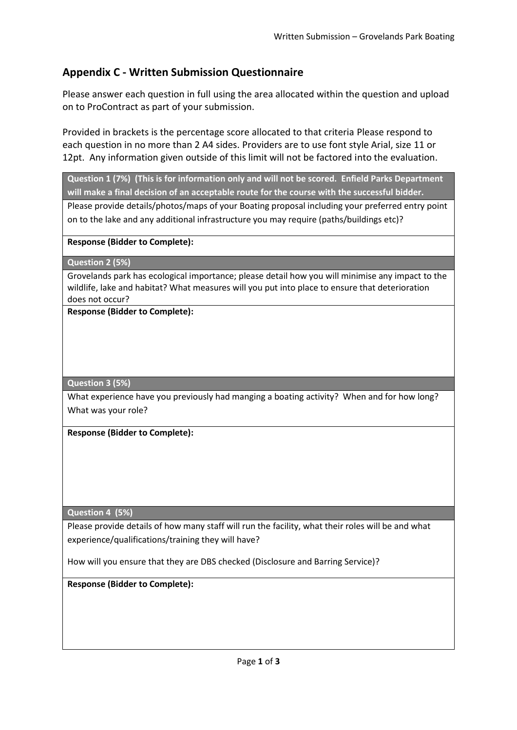# **Appendix C - Written Submission Questionnaire**

Please answer each question in full using the area allocated within the question and upload on to ProContract as part of your submission.

Provided in brackets is the percentage score allocated to that criteria Please respond to each question in no more than 2 A4 sides. Providers are to use font style Arial, size 11 or 12pt. Any information given outside of this limit will not be factored into the evaluation.

**Question 1 (7%) (This is for information only and will not be scored. Enfield Parks Department will make a final decision of an acceptable route for the course with the successful bidder.**

Please provide details/photos/maps of your Boating proposal including your preferred entry point on to the lake and any additional infrastructure you may require (paths/buildings etc)?

**Response (Bidder to Complete):**

**Question 2 (5%)**

Grovelands park has ecological importance; please detail how you will minimise any impact to the wildlife, lake and habitat? What measures will you put into place to ensure that deterioration does not occur?

**Response (Bidder to Complete):**

**Question 3 (5%)**

What experience have you previously had manging a boating activity? When and for how long? What was your role?

**Response (Bidder to Complete):**

**Question 4 (5%)**

Please provide details of how many staff will run the facility, what their roles will be and what experience/qualifications/training they will have?

How will you ensure that they are DBS checked (Disclosure and Barring Service)?

**Response (Bidder to Complete):**